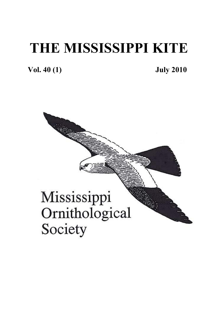# **THE MISSISSIPPI KITE**

**Vol. 40 (1) July 2010** 

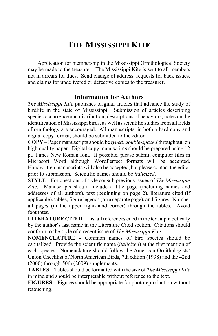### **THE MISSISSIPPI KITE**

Application for membership in the Mississippi Ornithological Society may be made to the treasurer. The Mississippi Kite is sent to all members not in arrears for dues. Send change of address, requests for back issues, and claims for undelivered or defective copies to the treasurer.

#### **Information for Authors**

*The Mississippi Kite* publishes original articles that advance the study of birdlife in the state of Mississippi. Submission of articles describing species occurrence and distribution, descriptions of behaviors, notes on the identification of Mississippi birds, as well as scientific studies from all fields of ornithology are encouraged. All manuscripts, in both a hard copy and digital copy format, should be submitted to the editor.

**COPY** – Paper manuscripts should be *typed, double-spaced* throughout, on high quality paper. Digital copy manuscripts should be prepared using 12 pt. Times New Roman font. If possible, please submit computer files in Microsoft Word although WordPerfect formats will be accepted. Handwritten manuscripts will also be accepted, but please contact the editor prior to submission. Scientific names should be *italicized*.

**STYLE** – For questions of style consult previous issues of *The Mississippi Kite*. Manuscripts should include a title page (including names and addresses of all authors), text (beginning on page 2), literature cited (if applicable), tables, figure legends (on a separate page), and figures. Number all pages (in the upper right-hand corner) through the tables. Avoid footnotes.

**LITERATURE CITED** – List all references cited in the text alphabetically by the author's last name in the Literature Cited section. Citations should conform to the style of a recent issue of *The Mississippi Kite*.

**NOMENCLATURE** - Common names of bird species should be capitalized. Provide the scientific name (*italicized*) at the first mention of each species. Nomenclature should follow the American Ornithologists' Union Checklist of North American Birds, 7th edition (1998) and the 42nd (2000) through 50th (2009) supplements.

**TABLES** – Tables should be formatted with the size of *The Mississippi Kite* in mind and should be interpretable without reference to the text.

**FIGURES** – Figures should be appropriate for photoreproduction without retouching.